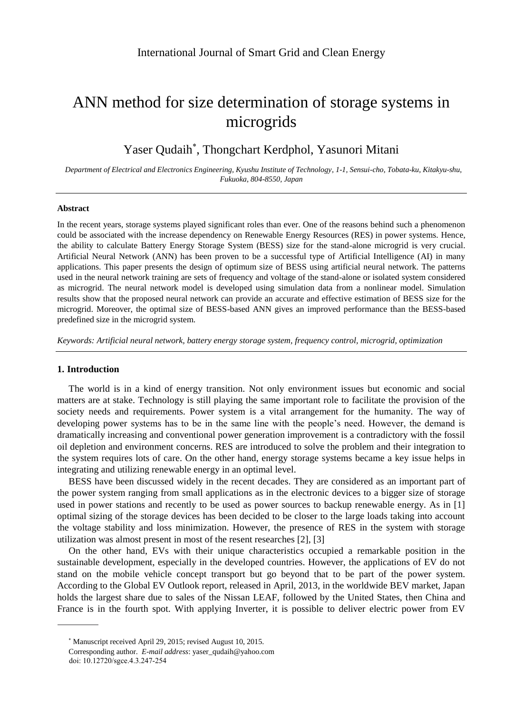# ANN method for size determination of storage systems in microgrids

# Yaser Qudaih , Thongchart Kerdphol, Yasunori Mitani

*Department of Electrical and Electronics Engineering, Kyushu Institute of Technology, 1-1, Sensui-cho, Tobata-ku, Kitakyu-shu, Fukuoka, 804-8550, Japan*

#### **Abstract**

In the recent years, storage systems played significant roles than ever. One of the reasons behind such a phenomenon could be associated with the increase dependency on Renewable Energy Resources (RES) in power systems. Hence, the ability to calculate Battery Energy Storage System (BESS) size for the stand-alone microgrid is very crucial. Artificial Neural Network (ANN) has been proven to be a successful type of Artificial Intelligence (AI) in many applications. This paper presents the design of optimum size of BESS using artificial neural network. The patterns used in the neural network training are sets of frequency and voltage of the stand-alone or isolated system considered as microgrid. The neural network model is developed using simulation data from a nonlinear model. Simulation results show that the proposed neural network can provide an accurate and effective estimation of BESS size for the microgrid. Moreover, the optimal size of BESS-based ANN gives an improved performance than the BESS-based predefined size in the microgrid system.

*Keywords: Artificial neural network, battery energy storage system, frequency control, microgrid, optimization*

# **1. Introduction**

The world is in a kind of energy transition. Not only environment issues but economic and social matters are at stake. Technology is still playing the same important role to facilitate the provision of the society needs and requirements. Power system is a vital arrangement for the humanity. The way of developing power systems has to be in the same line with the people's need. However, the demand is dramatically increasing and conventional power generation improvement is a contradictory with the fossil oil depletion and environment concerns. RES are introduced to solve the problem and their integration to the system requires lots of care. On the other hand, energy storage systems became a key issue helps in integrating and utilizing renewable energy in an optimal level.

BESS have been discussed widely in the recent decades. They are considered as an important part of the power system ranging from small applications as in the electronic devices to a bigger size of storage used in power stations and recently to be used as power sources to backup renewable energy. As in [1] optimal sizing of the storage devices has been decided to be closer to the large loads taking into account the voltage stability and loss minimization. However, the presence of RES in the system with storage utilization was almost present in most of the resent researches [2], [3]

On the other hand, EVs with their unique characteristics occupied a remarkable position in the sustainable development, especially in the developed countries. However, the applications of EV do not stand on the mobile vehicle concept transport but go beyond that to be part of the power system. According to the Global EV Outlook report, released in April, 2013, in the worldwide BEV market, Japan holds the largest share due to sales of the Nissan LEAF, followed by the United States, then China and France is in the fourth spot. With applying Inverter, it is possible to deliver electric power from EV

Manuscript received April 29, 2015; revised August 10, 2015.

Corresponding author. *E-mail address*: yaser\_qudaih@yahoo.com

doi: 10.12720/sgce.4.3.247-254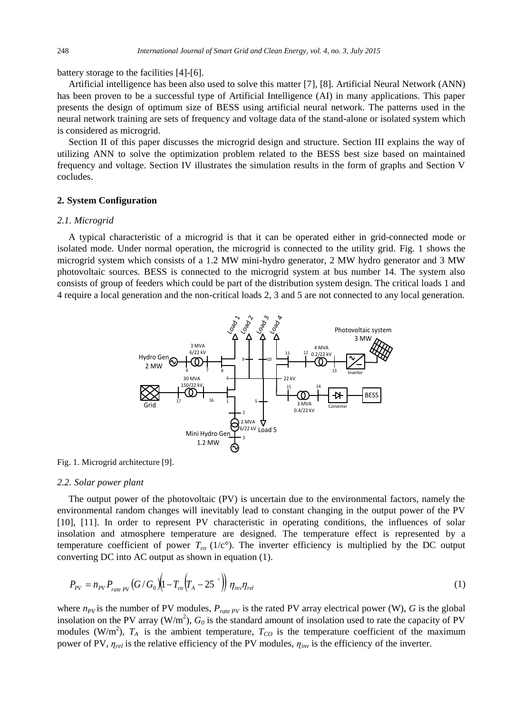battery storage to the facilities [4]-[6].

Artificial intelligence has been also used to solve this matter [7], [8]. Artificial Neural Network (ANN) has been proven to be a successful type of Artificial Intelligence (AI) in many applications. This paper presents the design of optimum size of BESS using artificial neural network. The patterns used in the neural network training are sets of frequency and voltage data of the stand-alone or isolated system which is considered as microgrid.

Section II of this paper discusses the microgrid design and structure. Section III explains the way of utilizing ANN to solve the optimization problem related to the BESS best size based on maintained frequency and voltage. Section IV illustrates the simulation results in the form of graphs and Section V cocludes.

## **2. System Configuration**

#### *2.1. Microgrid*

A typical characteristic of a microgrid is that it can be operated either in grid-connected mode or isolated mode. Under normal operation, the microgrid is connected to the utility grid. Fig. 1 shows the microgrid system which consists of a 1.2 MW mini-hydro generator, 2 MW hydro generator and 3 MW photovoltaic sources. BESS is connected to the microgrid system at bus number 14. The system also consists of group of feeders which could be part of the distribution system design. The critical loads 1 and 4 require a local generation and the non-critical loads 2, 3 and 5 are not connected to any local generation.



Fig. 1. Microgrid architecture [9].

#### *2.2. Solar power plant*

The output power of the photovoltaic (PV) is uncertain due to the environmental factors, namely the environmental random changes will inevitably lead to constant changing in the output power of the PV [10], [11]. In order to represent PV characteristic in operating conditions, the influences of solar insolation and atmosphere temperature are designed. The temperature effect is represented by a temperature coefficient of power  $T_{co}$  (1/c<sup>o</sup>). The inverter efficiency is multiplied by the DC output converting DC into AC output as shown in equation (1).

$$
P_{\text{pv}} = n_{\text{pv}} P_{\text{rate PV}} (G/G_0) \Big( 1 - T_{\text{co}} \Big( T_A - 25 \text{ }^{\circ} \Big) \Big) \eta_{\text{inv}} \eta_{\text{rel}} \tag{1}
$$

where  $n_{PV}$  is the number of PV modules,  $P_{rate\,PV}$  is the rated PV array electrical power (W), *G* is the global insolation on the PV array  $(W/m^2)$ ,  $G_0$  is the standard amount of insolation used to rate the capacity of PV modules (W/m<sup>2</sup>),  $T_A$  is the ambient temperature,  $T_{CO}$  is the temperature coefficient of the maximum power of PV, *ɳrel* is the relative efficiency of the PV modules, *ɳinv* is the efficiency of the inverter.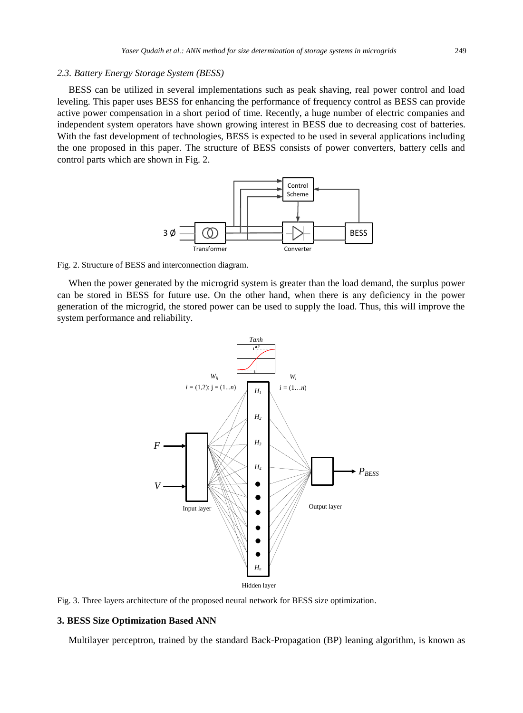#### *2.3. Battery Energy Storage System (BESS)*

BESS can be utilized in several implementations such as peak shaving, real power control and load leveling. This paper uses BESS for enhancing the performance of frequency control as BESS can provide active power compensation in a short period of time. Recently, a huge number of electric companies and independent system operators have shown growing interest in BESS due to decreasing cost of batteries. With the fast development of technologies, BESS is expected to be used in several applications including the one proposed in this paper. The structure of BESS consists of power converters, battery cells and control parts which are shown in Fig. 2.



Fig. 2. Structure of BESS and interconnection diagram.

When the power generated by the microgrid system is greater than the load demand, the surplus power can be stored in BESS for future use. On the other hand, when there is any deficiency in the power generation of the microgrid, the stored power can be used to supply the load. Thus, this will improve the system performance and reliability.



Fig. 3. Three layers architecture of the proposed neural network for BESS size optimization.

#### **3. BESS Size Optimization Based ANN**

Multilayer perceptron, trained by the standard Back-Propagation (BP) leaning algorithm, is known as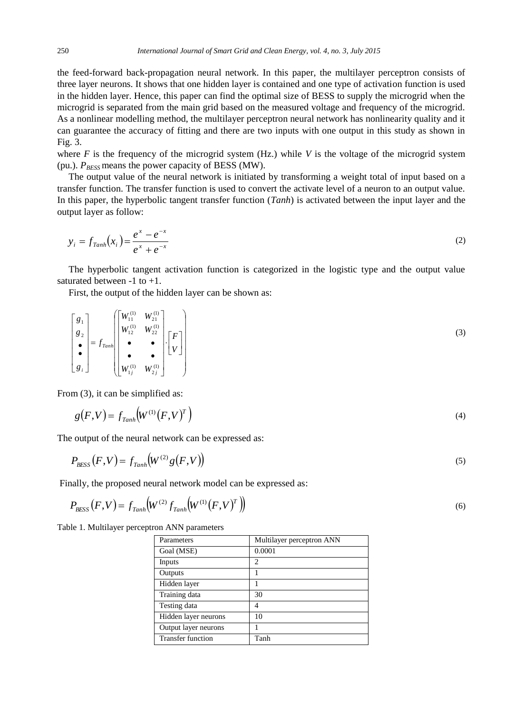the feed-forward back-propagation neural network. In this paper, the multilayer perceptron consists of three layer neurons. It shows that one hidden layer is contained and one type of activation function is used in the hidden layer. Hence, this paper can find the optimal size of BESS to supply the microgrid when the microgrid is separated from the main grid based on the measured voltage and frequency of the microgrid. As a nonlinear modelling method, the multilayer perceptron neural network has nonlinearity quality and it can guarantee the accuracy of fitting and there are two inputs with one output in this study as shown in Fig. 3.

where  $F$  is the frequency of the microgrid system (Hz.) while  $V$  is the voltage of the microgrid system (pu.).  $P_{BESS}$  means the power capacity of BESS (MW).

The output value of the neural network is initiated by transforming a weight total of input based on a transfer function. The transfer function is used to convert the activate level of a neuron to an output value. In this paper, the hyperbolic tangent transfer function (*Tanh*) is activated between the input layer and the output layer as follow:

$$
y_i = f_{Tanh}(x_i) = \frac{e^x - e^{-x}}{e^x + e^{-x}}
$$
 (2)

The hyperbolic tangent activation function is categorized in the logistic type and the output value saturated between -1 to +1.

First, the output of the hidden layer can be shown as:

$$
\begin{bmatrix} g_1 \\ g_2 \\ \bullet \\ \bullet \\ g_i \end{bmatrix} = f_{Tanh} \begin{bmatrix} W_{11}^{(1)} & W_{21}^{(1)} \\ W_{12}^{(1)} & W_{22}^{(1)} \\ \bullet & \bullet \\ W_{1j}^{(1)} & W_{2j}^{(1)} \end{bmatrix} \cdot \begin{bmatrix} F \\ V \end{bmatrix}
$$
 (3)

From (3), it can be simplified as:

$$
g(F,V) = f_{Tanh}\left(W^{(1)}(F,V)^{T}\right)
$$
\n<sup>(4)</sup>

The output of the neural network can be expressed as:

$$
P_{\text{BCSS}}(F,V) = f_{\text{Tanh}}(W^{(2)}g(F,V))
$$
\n<sup>(5)</sup>

Finally, the proposed neural network model can be expressed as:

$$
P_{\rm BESS}(F,V) = f_{Tanh}\Big(W^{(2)}f_{Tanh}\Big(W^{(1)}\big(F,V\big)^{T}\Big)\Big) \tag{6}
$$

Table 1. Multilayer perceptron ANN parameters

| Parameters               | Multilayer perceptron ANN |
|--------------------------|---------------------------|
| Goal (MSE)               | 0.0001                    |
| Inputs                   | 2                         |
| Outputs                  |                           |
| Hidden layer             |                           |
| Training data            | 30                        |
| Testing data             | 4                         |
| Hidden layer neurons     | 10                        |
| Output layer neurons     |                           |
| <b>Transfer function</b> | Tanh                      |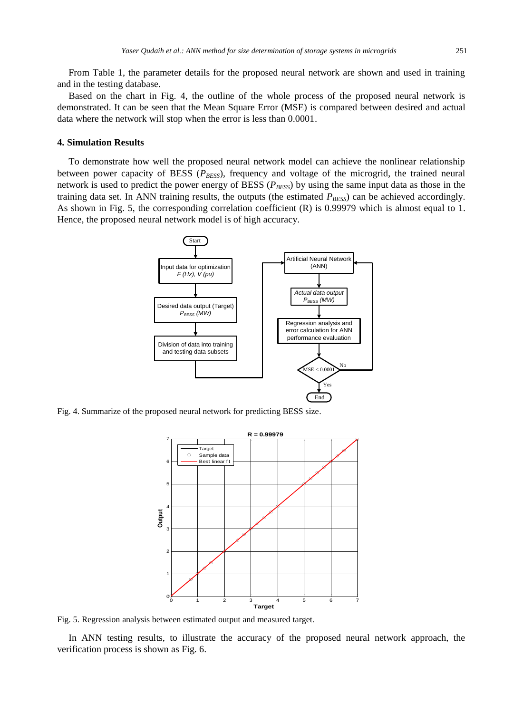From Table 1, the parameter details for the proposed neural network are shown and used in training and in the testing database.

Based on the chart in Fig. 4, the outline of the whole process of the proposed neural network is demonstrated. It can be seen that the Mean Square Error (MSE) is compared between desired and actual data where the network will stop when the error is less than 0.0001.

## **4. Simulation Results**

To demonstrate how well the proposed neural network model can achieve the nonlinear relationship between power capacity of BESS ( $P_{BESS}$ ), frequency and voltage of the microgrid, the trained neural network is used to predict the power energy of BESS (*PBESS*) by using the same input data as those in the training data set. In ANN training results, the outputs (the estimated  $P_{BESS}$ ) can be achieved accordingly. As shown in Fig. 5, the corresponding correlation coefficient (R) is 0.99979 which is almost equal to 1. Hence, the proposed neural network model is of high accuracy.



Fig. 4. Summarize of the proposed neural network for predicting BESS size.



Fig. 5. Regression analysis between estimated output and measured target.

In ANN testing results, to illustrate the accuracy of the proposed neural network approach, the verification process is shown as Fig. 6.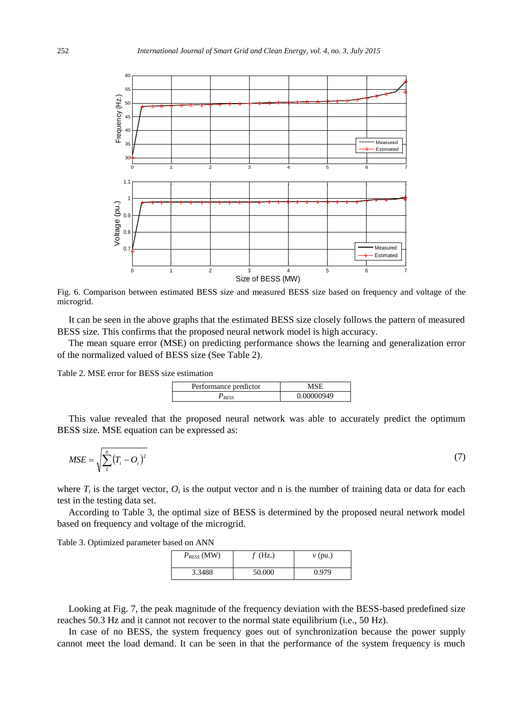

Fig. 6. Comparison between estimated BESS size and measured BESS size based on frequency and voltage of the microgrid.

It can be seen in the above graphs that the estimated BESS size closely follows the pattern of measured BESS size. This confirms that the proposed neural network model is high accuracy.

The mean square error (MSE) on predicting performance shows the learning and generalization error of the normalized valued of BESS size (See Table 2).

Table 2. MSE error for BESS size estimation

| Performance predictor |            |
|-----------------------|------------|
|                       | 0.00000949 |

This value revealed that the proposed neural network was able to accurately predict the optimum BESS size. MSE equation can be expressed as:

$$
MSE = \sqrt{\sum_{i}^{n} (T_i - O_i)^2}
$$
 (7)

where  $T_i$  is the target vector,  $O_i$  is the output vector and n is the number of training data or data for each test in the testing data set.

According to Table 3, the optimal size of BESS is determined by the proposed neural network model based on frequency and voltage of the microgrid.

Table 3. Optimized parameter based on ANN

| $P_{BESS}$ (MW) | $f$ (Hz.) | $v$ (pu.) |
|-----------------|-----------|-----------|
| 3.3488          | 50.000    | 0.979     |

Looking at Fig. 7, the peak magnitude of the frequency deviation with the BESS-based predefined size reaches 50.3 Hz and it cannot not recover to the normal state equilibrium (i.e., 50 Hz).

In case of no BESS, the system frequency goes out of synchronization because the power supply cannot meet the load demand. It can be seen in that the performance of the system frequency is much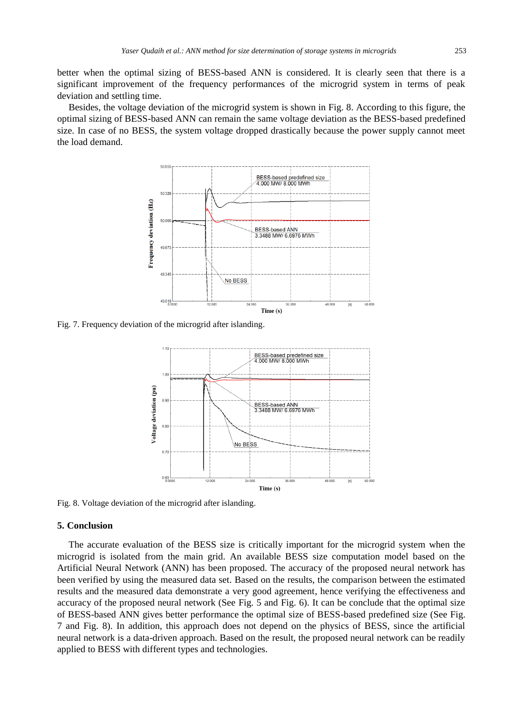better when the optimal sizing of BESS-based ANN is considered. It is clearly seen that there is a significant improvement of the frequency performances of the microgrid system in terms of peak deviation and settling time.

Besides, the voltage deviation of the microgrid system is shown in Fig. 8. According to this figure, the optimal sizing of BESS-based ANN can remain the same voltage deviation as the BESS-based predefined size. In case of no BESS, the system voltage dropped drastically because the power supply cannot meet the load demand.



Fig. 7. Frequency deviation of the microgrid after islanding.



Fig. 8. Voltage deviation of the microgrid after islanding.

#### **5. Conclusion**

The accurate evaluation of the BESS size is critically important for the microgrid system when the microgrid is isolated from the main grid. An available BESS size computation model based on the Artificial Neural Network (ANN) has been proposed. The accuracy of the proposed neural network has been verified by using the measured data set. Based on the results, the comparison between the estimated results and the measured data demonstrate a very good agreement, hence verifying the effectiveness and accuracy of the proposed neural network (See Fig. 5 and Fig. 6). It can be conclude that the optimal size of BESS-based ANN gives better performance the optimal size of BESS-based predefined size (See Fig. 7 and Fig. 8). In addition, this approach does not depend on the physics of BESS, since the artificial neural network is a data-driven approach. Based on the result, the proposed neural network can be readily applied to BESS with different types and technologies.